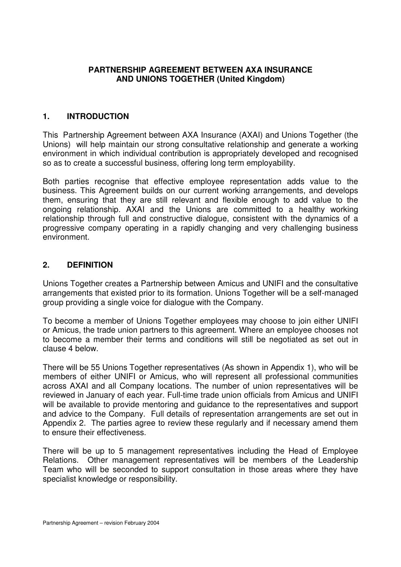#### **PARTNERSHIP AGREEMENT BETWEEN AXA INSURANCE AND UNIONS TOGETHER (United Kingdom)**

## **1. INTRODUCTION**

This Partnership Agreement between AXA Insurance (AXAI) and Unions Together (the Unions) will help maintain our strong consultative relationship and generate a working environment in which individual contribution is appropriately developed and recognised so as to create a successful business, offering long term employability.

Both parties recognise that effective employee representation adds value to the business. This Agreement builds on our current working arrangements, and develops them, ensuring that they are still relevant and flexible enough to add value to the ongoing relationship. AXAI and the Unions are committed to a healthy working relationship through full and constructive dialogue, consistent with the dynamics of a progressive company operating in a rapidly changing and very challenging business environment.

#### **2. DEFINITION**

Unions Together creates a Partnership between Amicus and UNIFI and the consultative arrangements that existed prior to its formation. Unions Together will be a self-managed group providing a single voice for dialogue with the Company.

To become a member of Unions Together employees may choose to join either UNIFI or Amicus, the trade union partners to this agreement. Where an employee chooses not to become a member their terms and conditions will still be negotiated as set out in clause 4 below.

There will be 55 Unions Together representatives (As shown in Appendix 1), who will be members of either UNIFI or Amicus, who will represent all professional communities across AXAI and all Company locations. The number of union representatives will be reviewed in January of each year. Full-time trade union officials from Amicus and UNIFI will be available to provide mentoring and guidance to the representatives and support and advice to the Company. Full details of representation arrangements are set out in Appendix 2. The parties agree to review these regularly and if necessary amend them to ensure their effectiveness.

There will be up to 5 management representatives including the Head of Employee Relations. Other management representatives will be members of the Leadership Team who will be seconded to support consultation in those areas where they have specialist knowledge or responsibility.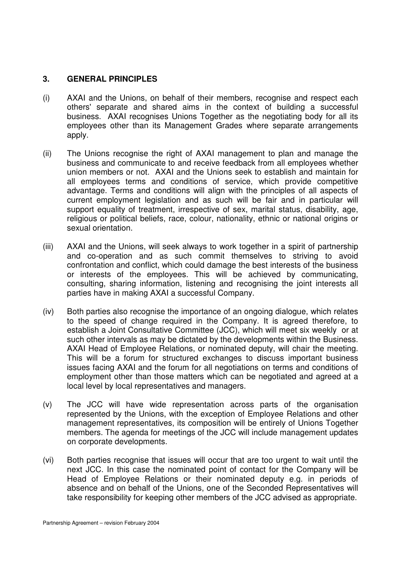#### **3. GENERAL PRINCIPLES**

- (i) AXAI and the Unions, on behalf of their members, recognise and respect each others' separate and shared aims in the context of building a successful business. AXAI recognises Unions Together as the negotiating body for all its employees other than its Management Grades where separate arrangements apply.
- (ii) The Unions recognise the right of AXAI management to plan and manage the business and communicate to and receive feedback from all employees whether union members or not. AXAI and the Unions seek to establish and maintain for all employees terms and conditions of service, which provide competitive advantage. Terms and conditions will align with the principles of all aspects of current employment legislation and as such will be fair and in particular will support equality of treatment, irrespective of sex, marital status, disability, age, religious or political beliefs, race, colour, nationality, ethnic or national origins or sexual orientation.
- (iii) AXAI and the Unions, will seek always to work together in a spirit of partnership and co-operation and as such commit themselves to striving to avoid confrontation and conflict, which could damage the best interests of the business or interests of the employees. This will be achieved by communicating, consulting, sharing information, listening and recognising the joint interests all parties have in making AXAI a successful Company.
- (iv) Both parties also recognise the importance of an ongoing dialogue, which relates to the speed of change required in the Company. It is agreed therefore, to establish a Joint Consultative Committee (JCC), which will meet six weekly or at such other intervals as may be dictated by the developments within the Business. AXAI Head of Employee Relations, or nominated deputy, will chair the meeting. This will be a forum for structured exchanges to discuss important business issues facing AXAI and the forum for all negotiations on terms and conditions of employment other than those matters which can be negotiated and agreed at a local level by local representatives and managers.
- (v) The JCC will have wide representation across parts of the organisation represented by the Unions, with the exception of Employee Relations and other management representatives, its composition will be entirely of Unions Together members. The agenda for meetings of the JCC will include management updates on corporate developments.
- (vi) Both parties recognise that issues will occur that are too urgent to wait until the next JCC. In this case the nominated point of contact for the Company will be Head of Employee Relations or their nominated deputy e.g. in periods of absence and on behalf of the Unions, one of the Seconded Representatives will take responsibility for keeping other members of the JCC advised as appropriate.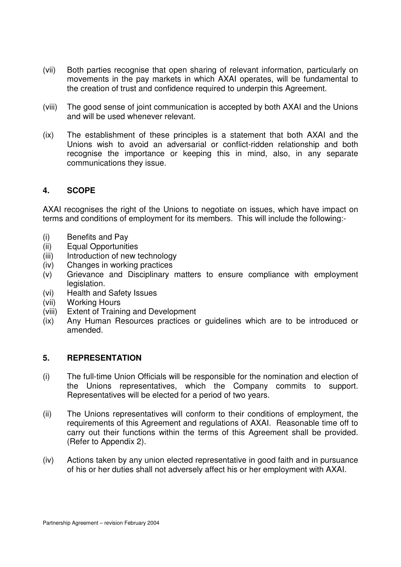- (vii) Both parties recognise that open sharing of relevant information, particularly on movements in the pay markets in which AXAI operates, will be fundamental to the creation of trust and confidence required to underpin this Agreement.
- (viii) The good sense of joint communication is accepted by both AXAI and the Unions and will be used whenever relevant.
- (ix) The establishment of these principles is a statement that both AXAI and the Unions wish to avoid an adversarial or conflict-ridden relationship and both recognise the importance or keeping this in mind, also, in any separate communications they issue.

## **4. SCOPE**

AXAI recognises the right of the Unions to negotiate on issues, which have impact on terms and conditions of employment for its members. This will include the following:-

- (i) Benefits and Pay
- (ii) Equal Opportunities
- (iii) Introduction of new technology
- (iv) Changes in working practices
- (v) Grievance and Disciplinary matters to ensure compliance with employment legislation.
- (vi) Health and Safety Issues
- (vii) Working Hours
- (viii) Extent of Training and Development
- (ix) Any Human Resources practices or guidelines which are to be introduced or amended.

#### **5. REPRESENTATION**

- (i) The full-time Union Officials will be responsible for the nomination and election of the Unions representatives, which the Company commits to support. Representatives will be elected for a period of two years.
- (ii) The Unions representatives will conform to their conditions of employment, the requirements of this Agreement and regulations of AXAI. Reasonable time off to carry out their functions within the terms of this Agreement shall be provided. (Refer to Appendix 2).
- (iv) Actions taken by any union elected representative in good faith and in pursuance of his or her duties shall not adversely affect his or her employment with AXAI.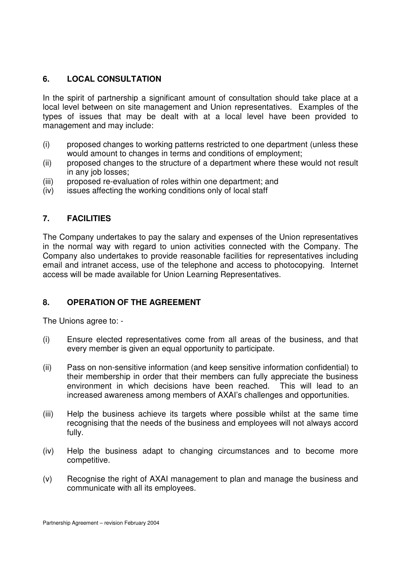## **6. LOCAL CONSULTATION**

In the spirit of partnership a significant amount of consultation should take place at a local level between on site management and Union representatives. Examples of the types of issues that may be dealt with at a local level have been provided to management and may include:

- (i) proposed changes to working patterns restricted to one department (unless these would amount to changes in terms and conditions of employment;
- (ii) proposed changes to the structure of a department where these would not result in any job losses;
- (iii) proposed re-evaluation of roles within one department; and
- (iv) issues affecting the working conditions only of local staff

## **7. FACILITIES**

The Company undertakes to pay the salary and expenses of the Union representatives in the normal way with regard to union activities connected with the Company. The Company also undertakes to provide reasonable facilities for representatives including email and intranet access, use of the telephone and access to photocopying. Internet access will be made available for Union Learning Representatives.

## **8. OPERATION OF THE AGREEMENT**

The Unions agree to: -

- (i) Ensure elected representatives come from all areas of the business, and that every member is given an equal opportunity to participate.
- (ii) Pass on non-sensitive information (and keep sensitive information confidential) to their membership in order that their members can fully appreciate the business environment in which decisions have been reached. This will lead to an increased awareness among members of AXAI's challenges and opportunities.
- (iii) Help the business achieve its targets where possible whilst at the same time recognising that the needs of the business and employees will not always accord fully.
- (iv) Help the business adapt to changing circumstances and to become more competitive.
- (v) Recognise the right of AXAI management to plan and manage the business and communicate with all its employees.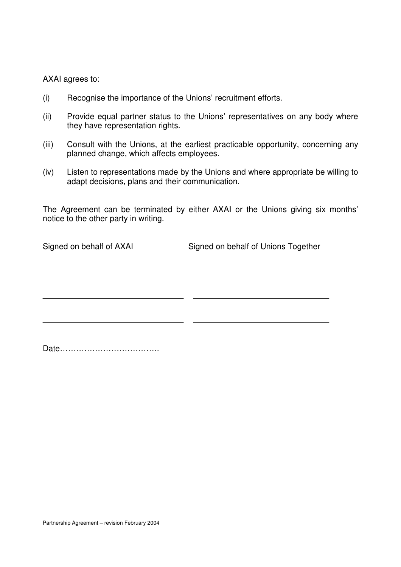AXAI agrees to:

- (i) Recognise the importance of the Unions' recruitment efforts.
- (ii) Provide equal partner status to the Unions' representatives on any body where they have representation rights.
- (iii) Consult with the Unions, at the earliest practicable opportunity, concerning any planned change, which affects employees.
- (iv) Listen to representations made by the Unions and where appropriate be willing to adapt decisions, plans and their communication.

The Agreement can be terminated by either AXAI or the Unions giving six months' notice to the other party in writing.

Signed on behalf of AXAI Signed on behalf of Unions Together

Date……………………………….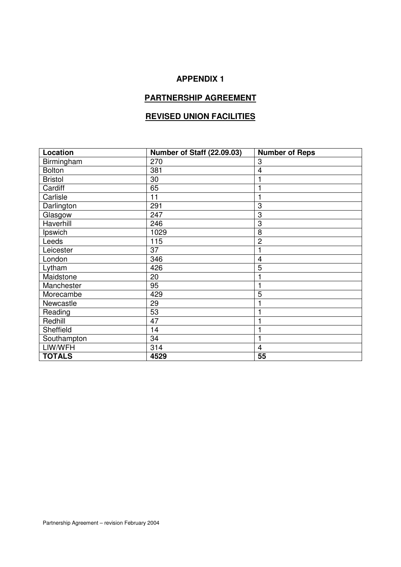# **APPENDIX 1**

# **PARTNERSHIP AGREEMENT**

# **REVISED UNION FACILITIES**

| Location       | Number of Staff (22.09.03) | <b>Number of Reps</b> |
|----------------|----------------------------|-----------------------|
| Birmingham     | 270                        | 3                     |
| <b>Bolton</b>  | 381                        | 4                     |
| <b>Bristol</b> | 30                         |                       |
| Cardiff        | 65                         |                       |
| Carlisle       | 11                         |                       |
| Darlington     | 291                        | 3                     |
| Glasgow        | 247                        | 3                     |
| Haverhill      | 246                        | 3                     |
| Ipswich        | 1029                       | 8                     |
| Leeds          | 115                        | $\overline{2}$        |
| Leicester      | 37                         |                       |
| London         | 346                        | 4                     |
| Lytham         | 426                        | 5                     |
| Maidstone      | 20                         |                       |
| Manchester     | 95                         |                       |
| Morecambe      | 429                        | 5                     |
| Newcastle      | 29                         |                       |
| Reading        | 53                         |                       |
| Redhill        | 47                         |                       |
| Sheffield      | 14                         |                       |
| Southampton    | 34                         |                       |
| LIW/WFH        | 314                        | $\overline{4}$        |
| <b>TOTALS</b>  | 4529                       | 55                    |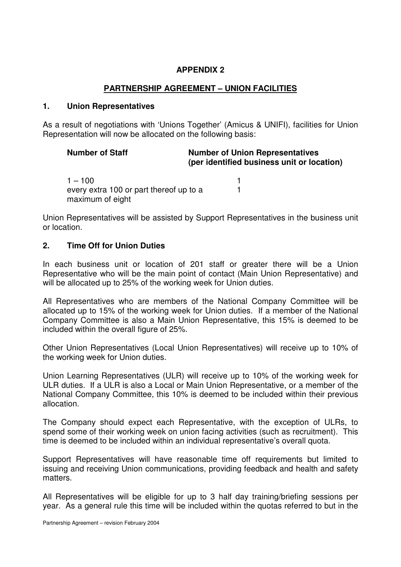### **APPENDIX 2**

## **PARTNERSHIP AGREEMENT – UNION FACILITIES**

#### **1. Union Representatives**

As a result of negotiations with 'Unions Together' (Amicus & UNIFI), facilities for Union Representation will now be allocated on the following basis:

| <b>Number of Staff</b>                                      | <b>Number of Union Representatives</b><br>(per identified business unit or location) |  |  |
|-------------------------------------------------------------|--------------------------------------------------------------------------------------|--|--|
| $1 - 100$                                                   |                                                                                      |  |  |
| every extra 100 or part thereof up to a<br>maximum of eight |                                                                                      |  |  |

Union Representatives will be assisted by Support Representatives in the business unit or location.

#### **2. Time Off for Union Duties**

In each business unit or location of 201 staff or greater there will be a Union Representative who will be the main point of contact (Main Union Representative) and will be allocated up to 25% of the working week for Union duties.

All Representatives who are members of the National Company Committee will be allocated up to 15% of the working week for Union duties. If a member of the National Company Committee is also a Main Union Representative, this 15% is deemed to be included within the overall figure of 25%.

Other Union Representatives (Local Union Representatives) will receive up to 10% of the working week for Union duties.

Union Learning Representatives (ULR) will receive up to 10% of the working week for ULR duties. If a ULR is also a Local or Main Union Representative, or a member of the National Company Committee, this 10% is deemed to be included within their previous allocation.

The Company should expect each Representative, with the exception of ULRs, to spend some of their working week on union facing activities (such as recruitment). This time is deemed to be included within an individual representative's overall quota.

Support Representatives will have reasonable time off requirements but limited to issuing and receiving Union communications, providing feedback and health and safety matters.

All Representatives will be eligible for up to 3 half day training/briefing sessions per year. As a general rule this time will be included within the quotas referred to but in the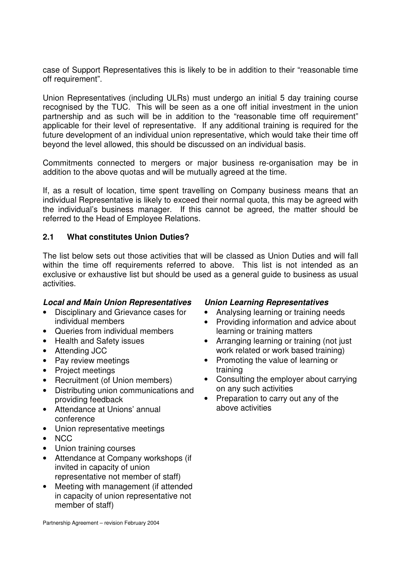case of Support Representatives this is likely to be in addition to their "reasonable time off requirement".

Union Representatives (including ULRs) must undergo an initial 5 day training course recognised by the TUC. This will be seen as a one off initial investment in the union partnership and as such will be in addition to the "reasonable time off requirement" applicable for their level of representative. If any additional training is required for the future development of an individual union representative, which would take their time off beyond the level allowed, this should be discussed on an individual basis.

Commitments connected to mergers or major business re-organisation may be in addition to the above quotas and will be mutually agreed at the time.

If, as a result of location, time spent travelling on Company business means that an individual Representative is likely to exceed their normal quota, this may be agreed with the individual's business manager. If this cannot be agreed, the matter should be referred to the Head of Employee Relations.

## **2.1 What constitutes Union Duties?**

The list below sets out those activities that will be classed as Union Duties and will fall within the time off requirements referred to above. This list is not intended as an exclusive or exhaustive list but should be used as a general guide to business as usual activities.

#### *Local and Main Union Representatives Union Learning Representatives*

- Disciplinary and Grievance cases for individual members
- Queries from individual members
- Health and Safety issues
- Attending JCC
- Pay review meetings
- Project meetings
- Recruitment (of Union members)
- Distributing union communications and providing feedback
- Attendance at Unions' annual conference
- Union representative meetings
- NCC
- Union training courses
- Attendance at Company workshops (if invited in capacity of union representative not member of staff)
- Meeting with management (if attended in capacity of union representative not member of staff)

- Analysing learning or training needs
- Providing information and advice about learning or training matters
- Arranging learning or training (not just work related or work based training)
- Promoting the value of learning or training
- Consulting the employer about carrying on any such activities
- Preparation to carry out any of the above activities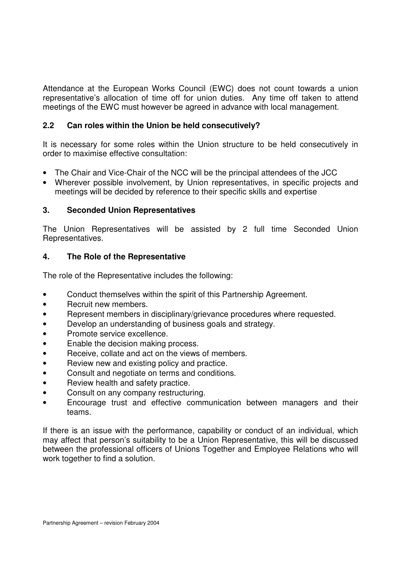Attendance at the European Works Council (EWC) does not count towards a union representative's allocation of time off for union duties. Any time off taken to attend meetings of the EWC must however be agreed in advance with local management.

## **2.2 Can roles within the Union be held consecutively?**

It is necessary for some roles within the Union structure to be held consecutively in order to maximise effective consultation:

- The Chair and Vice-Chair of the NCC will be the principal attendees of the JCC
- Wherever possible involvement, by Union representatives, in specific projects and meetings will be decided by reference to their specific skills and expertise

## **3. Seconded Union Representatives**

The Union Representatives will be assisted by 2 full time Seconded Union Representatives.

## **4. The Role of the Representative**

The role of the Representative includes the following:

- Conduct themselves within the spirit of this Partnership Agreement.
- Recruit new members.
- Represent members in disciplinary/grievance procedures where requested.
- Develop an understanding of business goals and strategy.
- Promote service excellence.
- Enable the decision making process.
- Receive, collate and act on the views of members.
- Review new and existing policy and practice.
- Consult and negotiate on terms and conditions.
- Review health and safety practice.
- Consult on any company restructuring.
- Encourage trust and effective communication between managers and their teams.

If there is an issue with the performance, capability or conduct of an individual, which may affect that person's suitability to be a Union Representative, this will be discussed between the professional officers of Unions Together and Employee Relations who will work together to find a solution.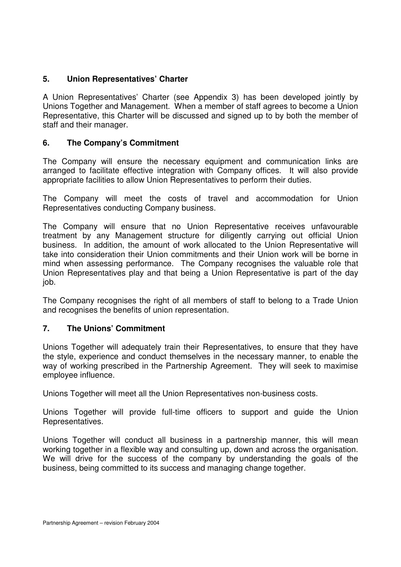## **5. Union Representatives' Charter**

A Union Representatives' Charter (see Appendix 3) has been developed jointly by Unions Together and Management. When a member of staff agrees to become a Union Representative, this Charter will be discussed and signed up to by both the member of staff and their manager.

## **6. The Company's Commitment**

The Company will ensure the necessary equipment and communication links are arranged to facilitate effective integration with Company offices. It will also provide appropriate facilities to allow Union Representatives to perform their duties.

The Company will meet the costs of travel and accommodation for Union Representatives conducting Company business.

The Company will ensure that no Union Representative receives unfavourable treatment by any Management structure for diligently carrying out official Union business. In addition, the amount of work allocated to the Union Representative will take into consideration their Union commitments and their Union work will be borne in mind when assessing performance. The Company recognises the valuable role that Union Representatives play and that being a Union Representative is part of the day job.

The Company recognises the right of all members of staff to belong to a Trade Union and recognises the benefits of union representation.

## **7. The Unions' Commitment**

Unions Together will adequately train their Representatives, to ensure that they have the style, experience and conduct themselves in the necessary manner, to enable the way of working prescribed in the Partnership Agreement. They will seek to maximise employee influence.

Unions Together will meet all the Union Representatives non-business costs.

Unions Together will provide full-time officers to support and guide the Union Representatives.

Unions Together will conduct all business in a partnership manner, this will mean working together in a flexible way and consulting up, down and across the organisation. We will drive for the success of the company by understanding the goals of the business, being committed to its success and managing change together.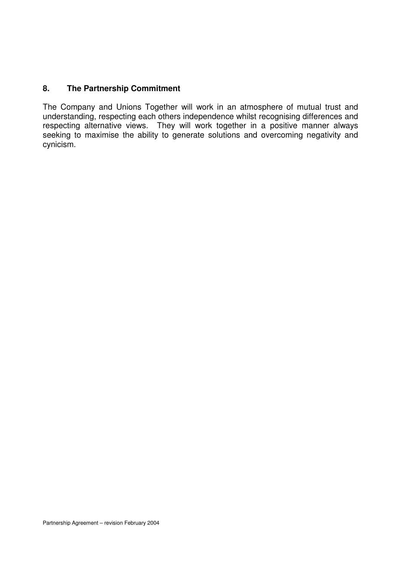## **8. The Partnership Commitment**

The Company and Unions Together will work in an atmosphere of mutual trust and understanding, respecting each others independence whilst recognising differences and respecting alternative views. They will work together in a positive manner always seeking to maximise the ability to generate solutions and overcoming negativity and cynicism.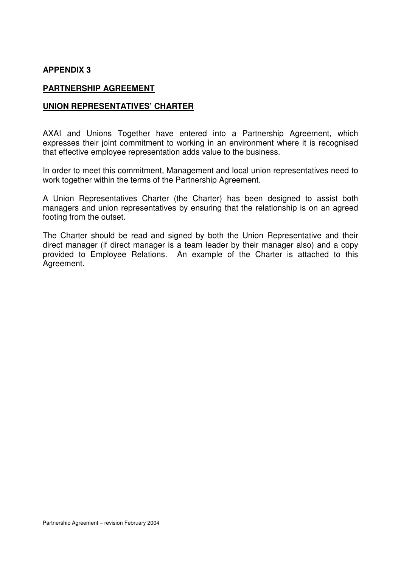#### **APPENDIX 3**

#### **PARTNERSHIP AGREEMENT**

#### **UNION REPRESENTATIVES' CHARTER**

AXAI and Unions Together have entered into a Partnership Agreement, which expresses their joint commitment to working in an environment where it is recognised that effective employee representation adds value to the business.

In order to meet this commitment, Management and local union representatives need to work together within the terms of the Partnership Agreement.

A Union Representatives Charter (the Charter) has been designed to assist both managers and union representatives by ensuring that the relationship is on an agreed footing from the outset.

The Charter should be read and signed by both the Union Representative and their direct manager (if direct manager is a team leader by their manager also) and a copy provided to Employee Relations. An example of the Charter is attached to this Agreement.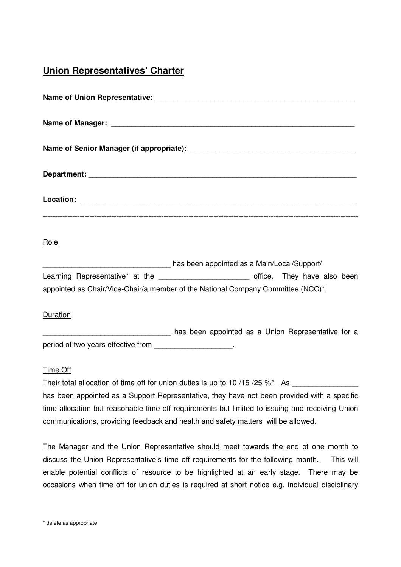# **Union Representatives' Charter**

| Role                                                                                    |  |  |  |  |  |  |
|-----------------------------------------------------------------------------------------|--|--|--|--|--|--|
| has been appointed as a Main/Local/Support/                                             |  |  |  |  |  |  |
| Learning Representative* at the ___________________________ office. They have also been |  |  |  |  |  |  |
| appointed as Chair/Vice-Chair/a member of the National Company Committee (NCC)*.        |  |  |  |  |  |  |

#### Duration

has been appointed as a Union Representative for a period of two years effective from

#### Time Off

Their total allocation of time off for union duties is up to 10  $/15 / 25 \%$ \*. As has been appointed as a Support Representative, they have not been provided with a specific time allocation but reasonable time off requirements but limited to issuing and receiving Union communications, providing feedback and health and safety matters will be allowed.

The Manager and the Union Representative should meet towards the end of one month to discuss the Union Representative's time off requirements for the following month. This will enable potential conflicts of resource to be highlighted at an early stage. There may be occasions when time off for union duties is required at short notice e.g. individual disciplinary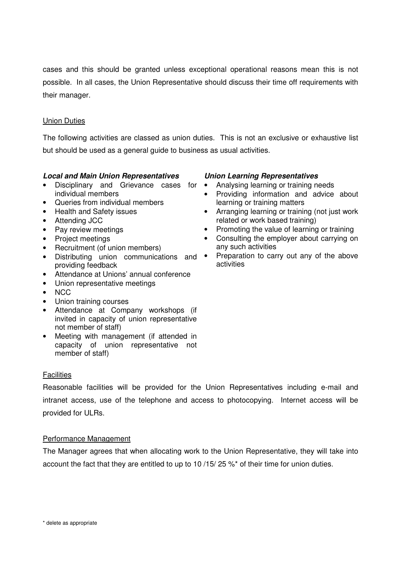cases and this should be granted unless exceptional operational reasons mean this is not possible. In all cases, the Union Representative should discuss their time off requirements with their manager.

#### Union Duties

The following activities are classed as union duties. This is not an exclusive or exhaustive list but should be used as a general guide to business as usual activities.

#### *Local and Main Union Representatives Union Learning Representatives*

- Disciplinary and Grievance cases for individual members
- Queries from individual members
- Health and Safety issues
- Attending JCC
- Pay review meetings
- Project meetings
- Recruitment (of union members)
- Distributing union communications and providing feedback
- Attendance at Unions' annual conference
- Union representative meetings
- NCC
- Union training courses
- Attendance at Company workshops (if invited in capacity of union representative not member of staff)
- Meeting with management (if attended in capacity of union representative not member of staff)

#### **Facilities**

Reasonable facilities will be provided for the Union Representatives including e-mail and intranet access, use of the telephone and access to photocopying. Internet access will be provided for ULRs.

#### Performance Management

The Manager agrees that when allocating work to the Union Representative, they will take into account the fact that they are entitled to up to 10 /15/ 25 %\* of their time for union duties.

- Analysing learning or training needs
- Providing information and advice about learning or training matters
- Arranging learning or training (not just work related or work based training)
- Promoting the value of learning or training
- Consulting the employer about carrying on any such activities
- Preparation to carry out any of the above activities